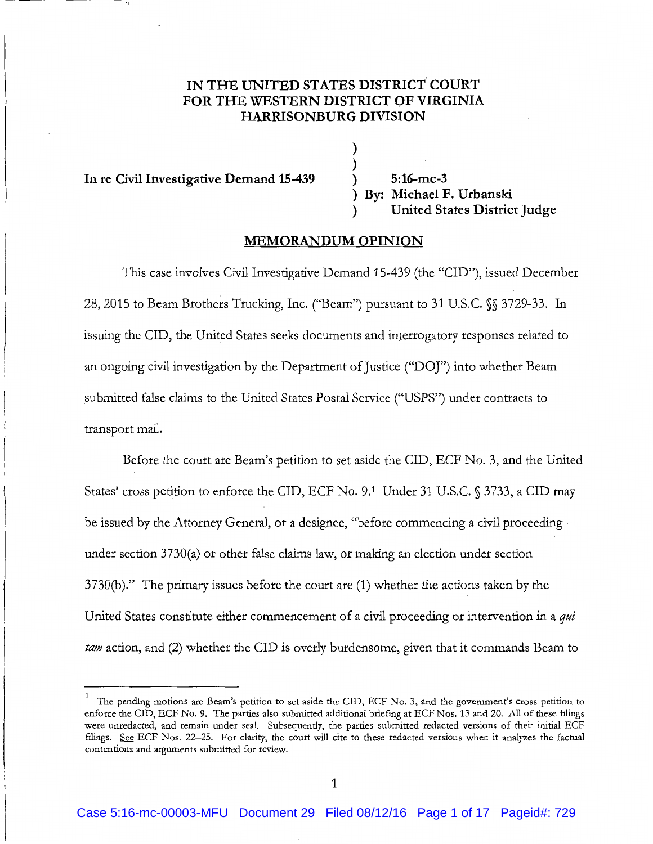# IN THE UNITED STATES DISTRICT COURT **FOR THE WESTERN DISTRICT OF VIRGINIA HARRISONBURG DIVISION**

)

**In re Civil Investigative Demand 15-439** ) **5:16-mc-3** 

) ) **By: Michael F. Urbanski**  ) **United States District Judge** 

### **MEMORANDUM OPINION**

This case involves Civil Investigative Demand 15-439 (the "CID"), issued December 28, 2015 to Beam Brothers Trucking, Inc. ("Beam") pursuant to 31 U.S.C. §§ 3729-33. In issuing the CID, the United States seeks documents and interrogatory responses related to an ongoing civil investigation by the Department of Justice ("DOJ") into whether Beam submitted false claims to the United States Postal Service ("USPS") under contracts to transport mail.

Before the court are Beam's petition to set aside the CID, ECF No. 3, and the United States' cross petition to enforce the CID, ECF No. 9.<sup>1</sup> Under 31 U.S.C. § 3733, a CID may be issued by the Attorney General, or a designee, "before commencing a civil proceeding  $\cdot$ under section 3730(a) or other false claims law, or making an election under section 3730(b)." The primary issues before the court are (1) whether the actions taken by the United States constitute either commencement of a civil proceeding or intervention in a *qui tam* action, and (2) whether the CID is overly burdensome, given that it commands Beam to

The pending motions are Beam's petition to set aside the CID, ECF No. 3, and the government's cross petition to enforce the CID, ECF No.9. The parties also submitted additional briefing at ECF Nos. 13 and 20. All of these filings were unredacted, and remain under seal. Subsequently, the parties submitted redacted versions of their initial ECF filings. See ECF Nos. 22–25. For clarity, the court will cite to these redacted versions when it analyzes the factual contentions and arguments submitted for review.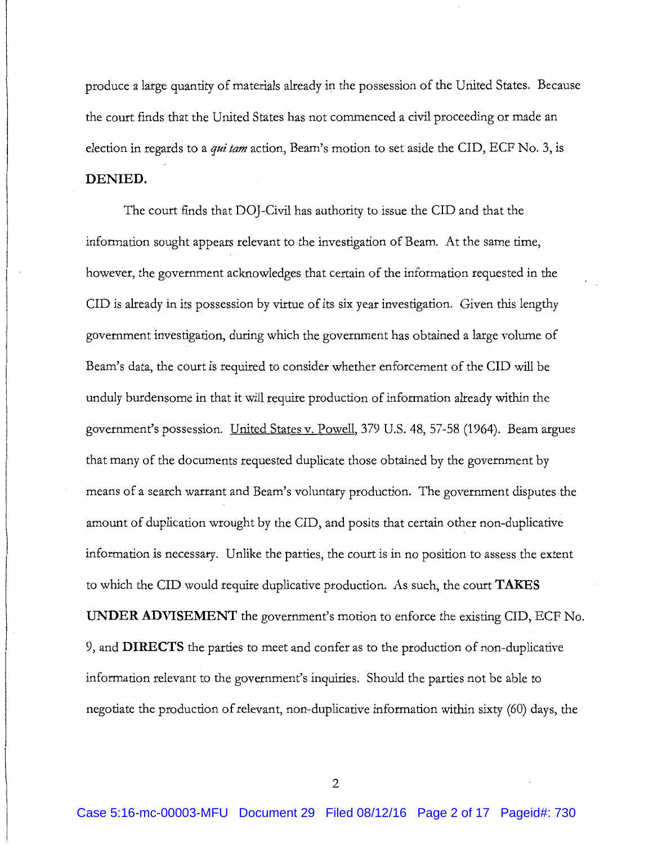produce a large quantity of materials already in the possession of the United States. Because the court finds that the United States has not commenced a civil proceeding or made an election in regards to a *qui tam* action, Beam's motion to set aside the CID, ECF No.3, is **DENIED.** 

The court finds that DOJ-Civil has authority to issue the CID and that the information sought appears relevant to the investigation of Beam. At the same time, however, the government acknowledges that certain of the information requested in the CID is already in its possession by virtue of its six year investigation. Given this lengthy government investigation, during which the government has obtained a large volume of Beam's data, the court is required to consider whether enforcement of the CID will be unduly burdensome in that it will require production of information already within the government's possession. United States v. Powell, 379 U.S. 48, 57-58 (1964). Beam argues that many of the documents requested duplicate those obtained by the government by means of a search warrant and Beam's voluntary production. The government disputes the amount of duplication wrought by the CID, and posits that certain other non-duplicative information is necessary. Unlike the parties, the court is in no position to assess the extent to which the CID would require duplicative production. As such, the court **TAKES UNDER ADVISEMENT** the government's motion to enforce the existing CID, ECF No. 9, and **DIRECTS** the parties to meet and confer as to the production of non-duplicative information relevant to the government's inquiries. Should the parties not be able to negotiate the production of relevant, non-duplicative information within sixty (60) days, the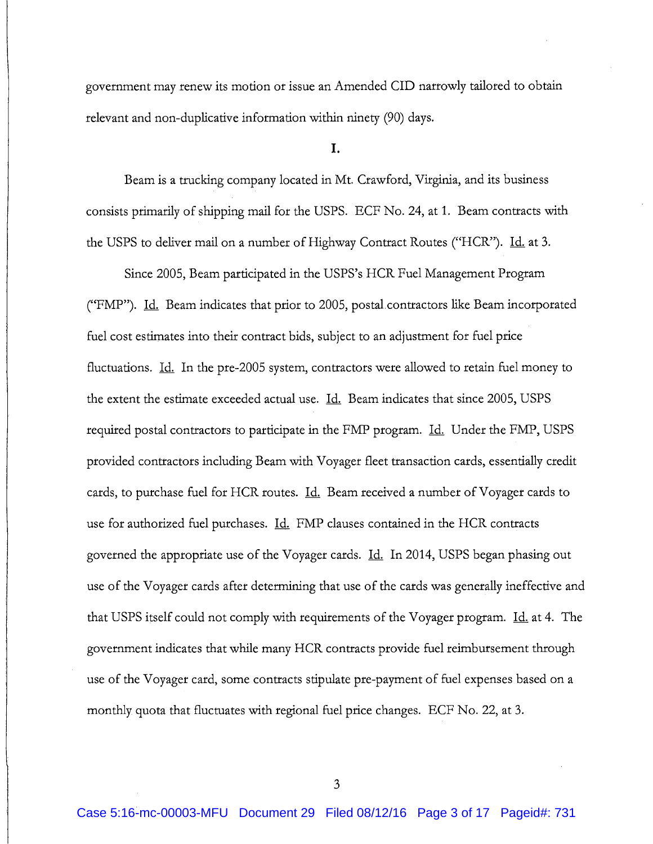government may renew its motion or issue an Amended CID narrowly tailored to obtain relevant and non-duplicative information within ninety (90) days.

I.

Beam is a trucking company located in Mt. Crawford, Virginia, and its business consists primarily of shipping mail for the USPS. ECF No. 24, at 1. Beam contracts with the USPS to deliver mail on a number of Highway Contract Routes ("HCR"). Id. at 3.

Since 2005, Beam participated in the USPS's HCR Fuel Management Program ("FMP"). Id. Beam indicates that prior to 2005, postal contractors like Beam incorporated fuel cost estimates into their contract bids, subject to an adjustment for fuel price fluctuations. *Id.* In the pre-2005 system, contractors were allowed to retain fuel money to the extent the estimate exceeded actual use. *Id.* Beam indicates that since 2005, USPS required postal contractors to participate in the FMP program. Id. Under the FMP, USPS provided contractors including Beam with Voyager fleet transaction cards, essentially credit cards, to purchase fuel for HCR routes. *Id.* Beam received a number of Voyager cards to use for authorized fuel purchases. Id. FMP clauses contained in the HCR contracts governed the appropriate use of the Voyager cards. Id. In 2014, USPS began phasing out use of the Voyager cards after determining that use of the cards was generally ineffective and that USPS itself could not comply with requirements of the Voyager program. Id. at 4. The government indicates that while many HCR contracts provide fuel reimbursement through use of the Voyager card, some contracts stipulate pre-payment of fuel expenses based on a monthly quota that fluctuates with regional fuel price changes. ECF No. 22, at 3.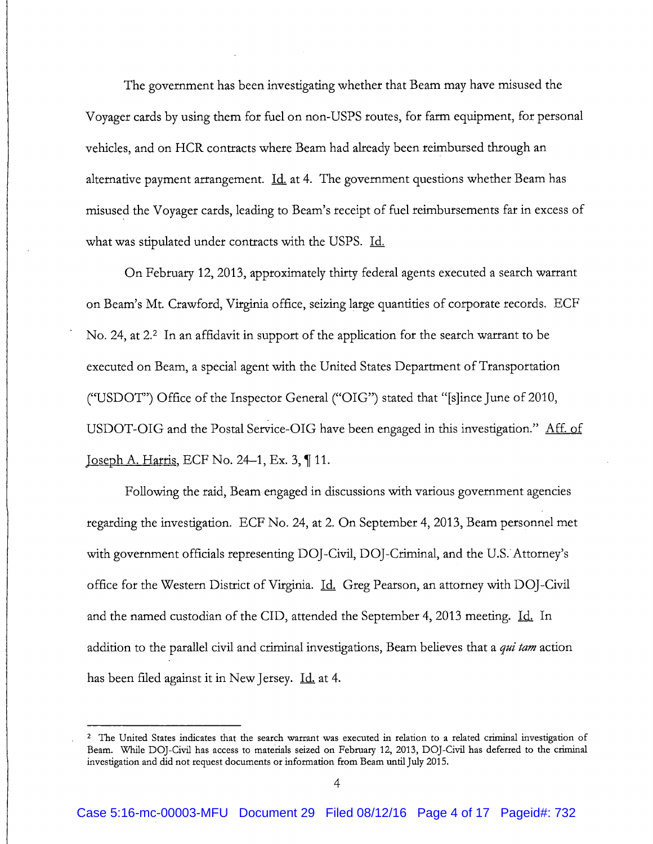The government has been investigating whether that Beam may have misused the Voyager cards by using them for fuel on non-USPS routes, for farm equipment, for personal vehicles, and on HCR contracts where Beam had already been reimbursed through an alternative payment arrangement.  $\underline{Id}$  at 4. The government questions whether Beam has misused the Voyager cards, leading to Beam's receipt of fuel reimbursements far in excess of what was stipulated under contracts with the USPS. Id.

On February 12, 2013, approximately thirty federal agents executed a search warrant on Beam's Mt. Crawford, Virginia office, seizing large quantities of corporate records. ECF No. 24, at 2.<sup>2</sup> In an affidavit in support of the application for the search warrant to be executed on Beam, a special agent with the United States Department of Transportation ("USDOT") Office of the Inspector General ("OIG") stated that "[s]ince June of 2010, USDOT-OIG and the Postal Service-OIG have been engaged in this investigation." Aff. of Joseph A. Harris, ECF No. 24–1, Ex. 3,  $\P$  11.

Following the raid, Beam engaged in discussions with various government agencies regarding the investigation. ECF No. 24, at 2. On September 4, 2013, Beam personnel met with government officials representing DOJ-Civil, DOJ-Criminal, and the U.S. Attorney's office for the Western District of Virginia. <u>Id.</u> Greg Pearson, an attorney with DOJ-Civil and the named custodian of the CID, attended the September 4, 2013 meeting. Id. In addition to the parallel civil and criminal investigations, Beam believes that a *qui tam* action has been filed against it in New Jersey. Id. at 4.

----------

<sup>&</sup>lt;sup>2</sup> The United States indicates that the search warrant was executed in relation to a related criminal investigation of Beam. While DOJ-Civil has access to materials seized on February 12, 2013, DOJ-Civil has deferred to the criminal investigation and did not request documents or information from Beam until July 2015.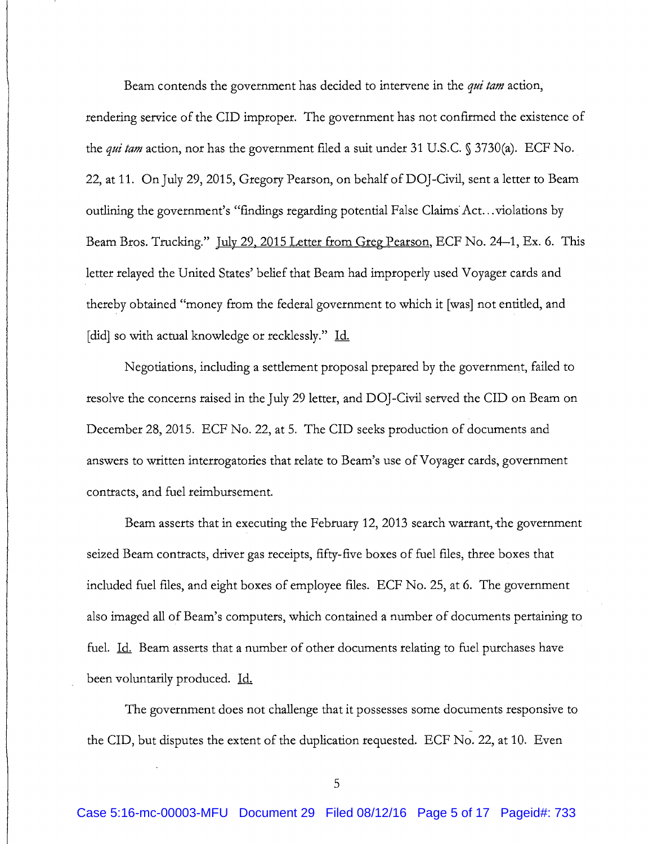Beam contends the government has decided to intervene in the *qui tam* action, rendering service of the CID improper. The government has not conflrmed the existence of the *qui tam* action, nor has the government flled a suit under 31 U.S.C. § 3730(a). ECF No. 22, at 11. On July 29, 2015, Gregory Pearson, on behalf ofDOJ-Civil, sent a letter to Beam outlining the government's "findings regarding potential False Claims Act... violations by Beam Bros. Trucking." July 29, 2015 Letter from Greg Pearson, ECF No. 24–1, Ex. 6. This letter relayed the United States' belief that Beam had improperly used Voyager cards and thereby obtained "money from the federal government to which it [was] not entitled, and [did] so with actual knowledge or recklessly." Id.

Negotiations, including a settlement proposal prepared by the government, failed to resolve the concerns raised in the July 29 letter, and DOJ -Civil served the CID on Beam on December 28, 2015. ECF No. 22, at 5. The CID seeks production of documents and answers to written interrogatories that relate to Beam's use of Voyager cards, government contracts, and fuel reimbursement.

Beam asserts that in executing the February 12, 2013 search warrant, the government seized Beam contracts, driver gas receipts, fifty-five boxes of fuel files, three boxes that included fuel flles, and eight boxes of employee flies. ECF No. 25, at 6. The government also imaged all of Beam's computers, which contained a number of documents pertaining to fuel. Id. Beam asserts that a number of other documents relating to fuel purchases have been voluntarily produced. Id.

The government does not challenge that it possesses some documents responsive to - the CID, but disputes the extent of the duplication requested. ECF No. 22, at 10. Even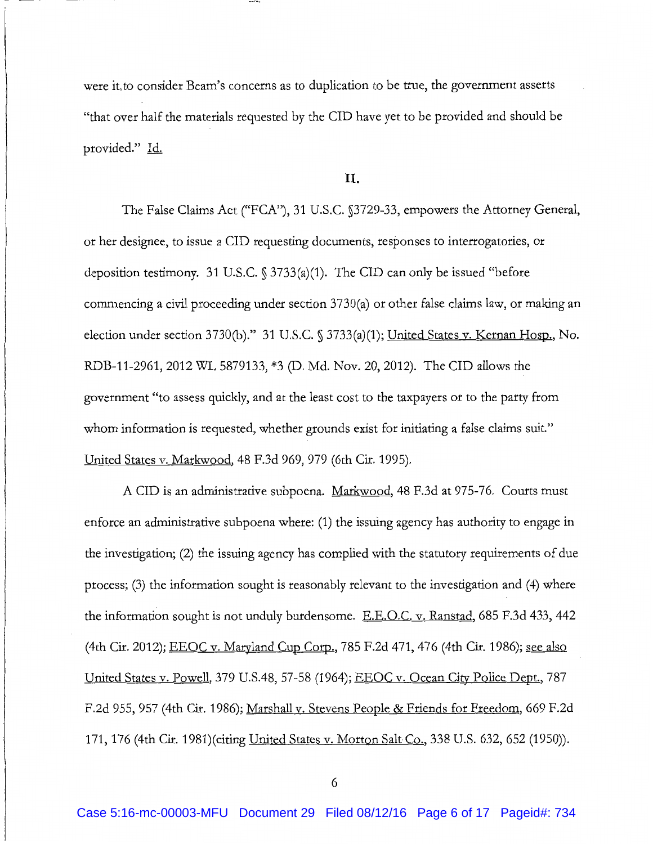were it, to consider Beam's concerns as to duplication to be true, the government asserts "that over half the materials requested by the CID have yet to be provided and should be provided." Id.

## II.

The False Claims Act ("FCA"), 31 U.S.C. §3729-33, empowers the Attorney General, or her designee, to issue aCID requesting documents, responses to interrogatories, or deposition testimony. 31 U.S.C. § 3733(a)(1). The CID can only be issued "before commencing a civil proceeding under section 3730(a) or other false claims law, or making an election under section 3730(b)." 31 U.S.C. § 3733(a)(1); United States v. Kernan Hosp., No. RDB-11-2961, 2012 WL 5879133, \*3 (D. Md. Nov. 20, 2012). The CID allows the government "to assess quickly, and at the least cost to the taxpayers or to the party from whom information is requested, whether grounds exist for initiating a false claims suit." United States v. Markwood, 48 F.3d 969, 979 (6th Cir. 1995).

ACID is an administrative subpoena. Markwood, 48 F.3d at 975-76. Courts must enforce an administrative subpoena where: (1) the issuing agency has authority to engage in the investigation; (2) the issuing agency has complied with the statutory requirements of due process; (3) the information sought is reasonably relevant to the investigation and (4) where the information sought is not unduly burdensome. E.E.O.C. v. Ranstad, 685 F.3d 433, 442 (4th Cir. 2012); EEOC v. Maryland Cup Corp., 785 F.2d 471, 476 (4th Cir. 1986); see also United States v. Powell, 379 U.S.48, 57-58 (1964); EEOC v. Ocean City Police Dept., 787 F.2d 955, 957 (4th Cir. 1986); Marshall v. Stevens People & Friends for Freedom, 669 F.2d 171, 176 (4th Cir. 1981)(citing United States v. Morton Salt Co., 338 U.S. 632, 652 (1950)).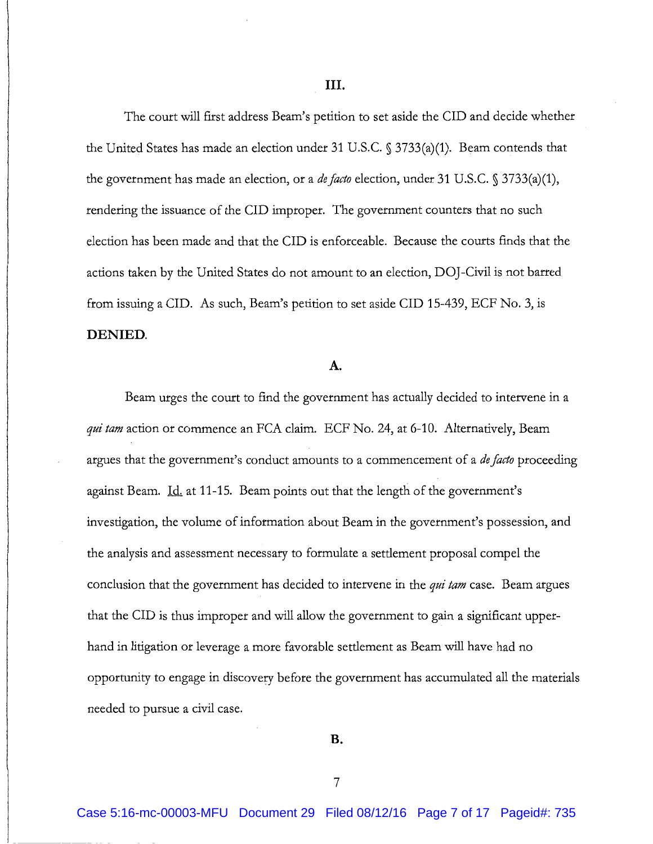The court will first address Beam's petition to set aside the CID and decide whether the United States has made an election under 31 U.S.C. § 3733(a)(1). Beam contends that the government has made an election, or a *defado* election, under 31 U.S.C. § 3733(a)(1), rendering the issuance of the CID improper. The government counters that no such election has been made and that the CID is enforceable. Because the courts finds that the actions taken by the United States do not amount to an election, DOJ-Civil is not barred from issuing a CID. As such, Beam's petition to set aside CID 15-439, ECF No. 3, is **DENIED.** 

#### **A.**

Beam urges the court to find the government has actually decided to intervene in a *qui tam* action or commence an FCA claim. ECF No. 24, at 6-10. Alternatively, Beam argues that the government's conduct amounts to a commencement of a *de facto* proceeding against Beam. Id. at 11-15. Beam points out that the length of the government's investigation, the volume of information about Beam in the government's possession, and the analysis and assessment necessary to formulate a settlement proposal compel the conclusion that the government has decided to intervene in the *qui tam* case. Beam argues that the CID is thus improper and will allow the government to gain a significant upperhand in litigation or leverage a more favorable settlement as Beam will have had no opportunity to engage in discovery before the government has accumulated all the materials needed to pursue a civil case.

**B.**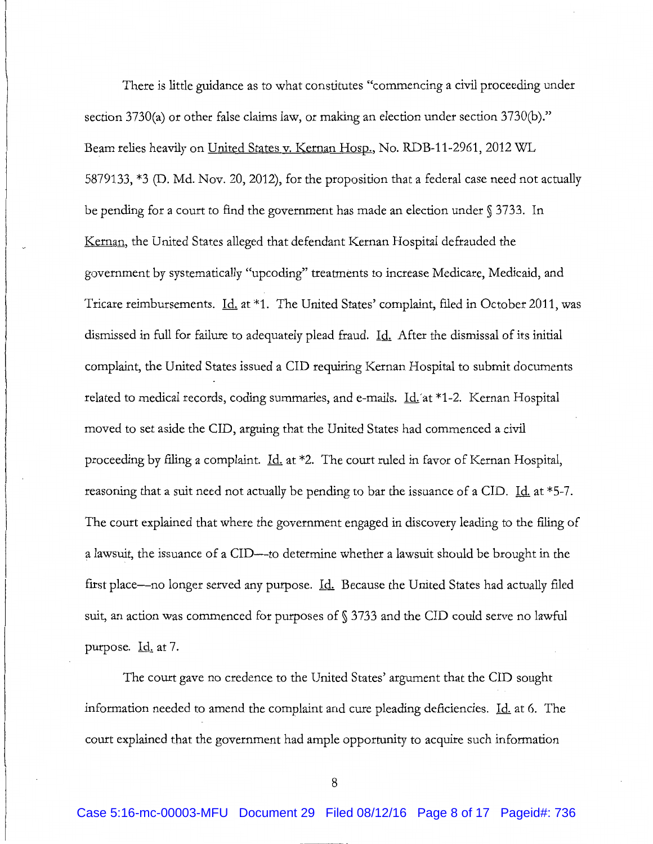There is little guidance as to what constitutes "commencing a civil proceeding under section 3730(a) or other false claims law, or making an election under section 3730(b)." Beam relies heavily on United States v. Kernan Hosp., No. RDB-11-2961, 2012 WL 5879133, \*3 (D. Md. Nov. 20, 2012), for the proposition that a federal case need not actually be pending for a court to find the government has made an election under § 3733. In Kernan, the United States alleged that defendant Kernan Hospital defrauded the government by systematically "upcoding" treatments to increase Medicare, Medicaid, and Tricare reimbursements. *Id.* at \*1. The United States' complaint, filed in October 2011, was dismissed in full for failure to adequately plead fraud. Id. After the dismissal of its initial complaint, the United States issued a CID requiring Kernan Hospital to submit documents related to medical records, coding summaries, and e-mails. Id. at \*1-2. Kernan Hospital moved to set aside the CID, arguing that the United States had commenced a civil proceeding by filing a complaint. Id. at \*2. The court ruled in favor of Kernan Hospital, reasoning that a suit need not actually be pending to bar the issuance of a CID. Id. at  $*5-7$ . The court explained that where the government engaged in discovery leading to the filing of a lawsuit, the issuance of a CID—to determine whether a lawsuit should be brought in the first place--no longer served any purpose. *Id.* Because the United States had actually filed suit, an action was commenced for purposes of§ 3733 and the CID could serve no lawful purpose.  $\underline{Id}$  at 7.

The court gave no credence to the United States' argument that the CID sought information needed to amend the complaint and cure pleading deficiencies. Id. at 6. The court explained that the government had ample opportunity to acquire such information

8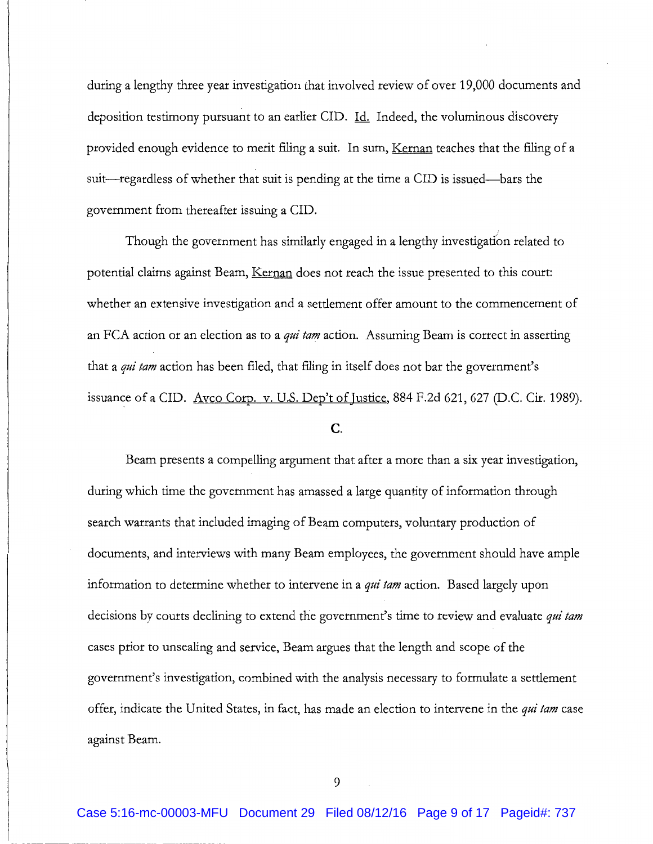during a lengthy three year investigation that involved review of over 19,000 documents and deposition testimony pursuant to an earlier CID. Id. Indeed, the voluminous discovery provided enough evidence to merit filing a suit. In sum, Kernan teaches that the filing of a suit-regardless of whether that suit is pending at the time a CID is issued-bars the government from thereafter issuing aCID.

Though the government has similarly engaged in a lengthy investigation related to potential claims against Beam, Kernan does not reach the issue presented to this court: whether an extensive investigation and a settlement offer amount to the commencement of an FCA action or an election as to a *qui tam* action. Assuming Beam is correct in asserting that a *qui tam* action has been filed, that filing in itself does not bar the government's issuance of a CID. Avco Corp. v. U.S. Dep't of Justice, 884 F.2d 621, 627 (D.C. Cir. 1989).

### c.

Beam presents a compelling argument that after a more than a six year investigation, during which time the government has amassed a large quantity of information through search warrants that included imaging of Beam computers, voluntary production of documents, and interviews with many Beam employees, the government should have ample information to determine whether to intervene in a *qui tam* action. Based largely upon decisions by courts declining to extend the government's time to review and evaluate *qui tam*  cases prior to unsealing and service, Beam argues that the length and scope of the government's investigation, combined with the analysis necessary to formulate a settlement offer, indicate the United States, in fact, has made an election to intervene in the *qui tam* case against Beam.

9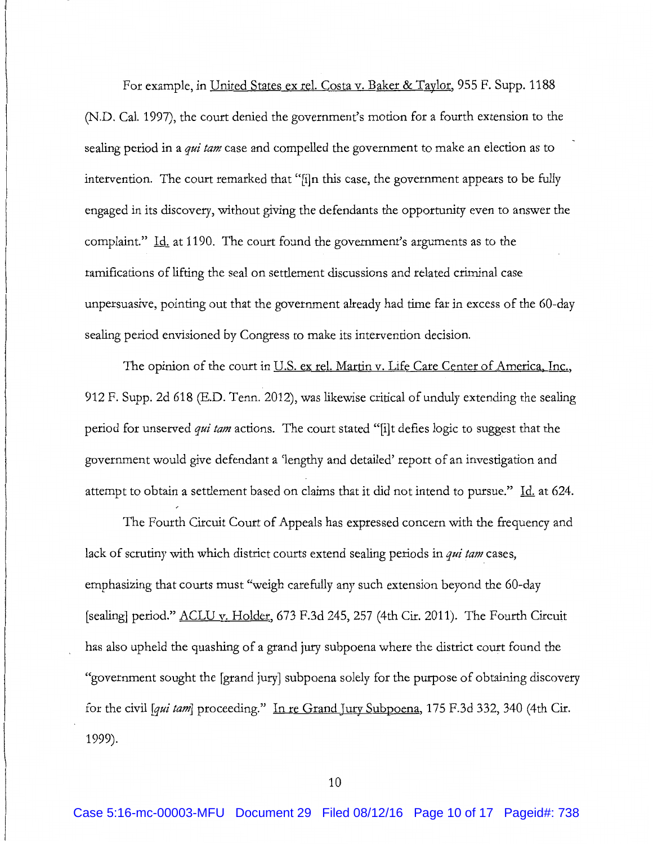For example, in United States ex rel. Costa v. Baker & Taylor, 955 F. Supp. 1188 (N.D. Cal. 1997), the court denied the government's motion for a fourth extension to the sealing period in a *qui tam* case and compelled the government to make an election as to intervention. The court remarked that "[i]n this case, the government appears to be fully engaged in its discovery, without giving the defendants the opportunity even to answer the complaint." Id. at 1190. The court found the government's arguments as to the ramifications of lifting the seal on settlement discussions and related criminal case unpersuasive, pointing out that the government already had time far in excess of the 60-day sealing period envisioned by Congress to make its intervention decision.

The opinion of the court in <u>U.S. ex rel. Martin v. Life Care Center of America, Inc.</u>, 912 F. Supp. 2d 618 (E.D. Tenn. 2012), was likewise critical of unduly extending the sealing period for unserved *qui tam* actions. The court stated "[i]t defies logic to suggest that the government would give defendant a 'lengthy and detailed' report of an investigation and attempt to obtain a settlement based on claims that it did not intend to pursue." Id. at 624.

The Fourth Circuit Court of Appeals has expressed concern with the frequency and lack of scrutiny with which district courts extend sealing periods in *qui tam* cases, emphasizing that courts must "weigh carefully any such extension beyond the 60-day [sealing] period." ACLU v. Holder, 673 F.3d 245, 257 (4th Cir. 2011). The Fourth Circuit has also upheld the quashing of a grand jury subpoena where the district court found the "government sought the [grand jury] subpoena solely for the purpose of obtaining discovery for the civil *[qui tam]* proceeding." In re Grand Jury Subpoena, 175 F.3d 332, 340 (4th Cir. 1999).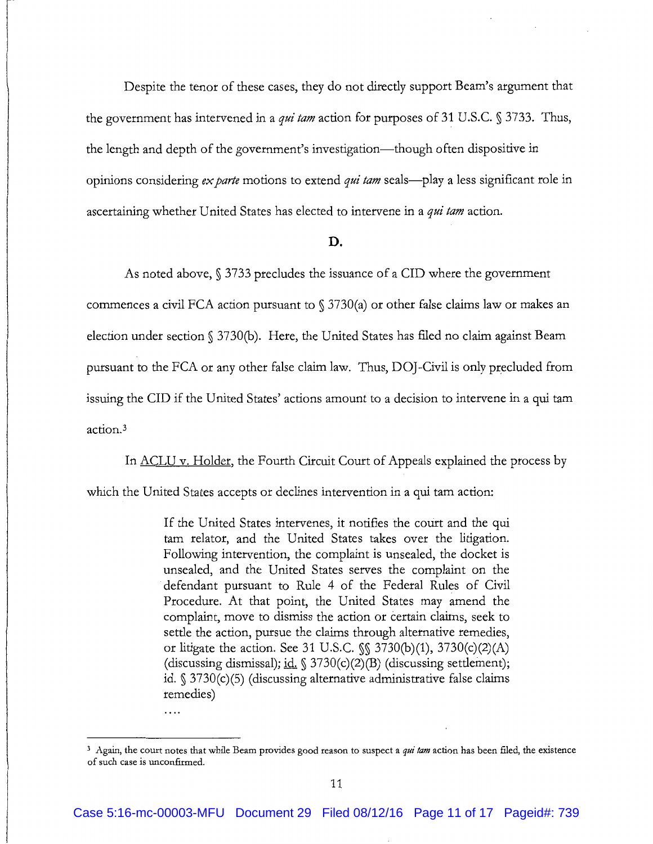Despite the tenor of these cases, they do not directly support Beam's argument that the government has intervened in a *qui tam* action for purposes of 31 U.S.C. § 3733. Thus, the length and depth of the government's investigation—though often dispositive in opinions considering *ex parte* motions to extend *qui tam* seals-play a less significant role in ascertaining whether United States has elected to intervene in a *qui tam* action.

#### D.

As noted above, § 3733 precludes the issuance of a CID where the government commences a civil FCA action pursuant to  $\S 3730(a)$  or other false claims law or makes an election under section§ 3730(b). Here, the United States has flied no claim against Beam pursuant to the FCA or any other false claim law. Thus, DOJ -Civil is only precluded from issuing the CID if the United States' actions amount to a decision to intervene in a qui tam action. <sup>3</sup>

In <u>ACLU v. Holder</u>, the Fourth Circuit Court of Appeals explained the process by which the United States accepts or declines intervention in a qui tam action:

> If the United States intervenes, it notifies the court and the qui tam relator, and the United States takes over the litigation. Following intervention, the complaint is unsealed, the docket is unsealed, and the United States serves the complaint on the defendant pursuant to Rule 4 of the Federal Rules of Civil Procedure. At that point, the United States may amend the complaint, move to dismiss the action or certain claims, seek to settle the action, pursue the claims through alternative remedies, or litigate the action. See 31 U.S.C. §§ 3730(b)(1), 3730(c)(2)(A) (discussing dismissal); id.  $\frac{3730(c)}{2(B)}$  (discussing settlement); id. § 3730(c)(5) (discussing alternative administrative false claims remedies)

 $\cdots$ 

<sup>&</sup>lt;sup>3</sup> Again, the court notes that while Beam provides good reason to suspect a *qui tam* action has been filed, the existence of such case is unconfirmed.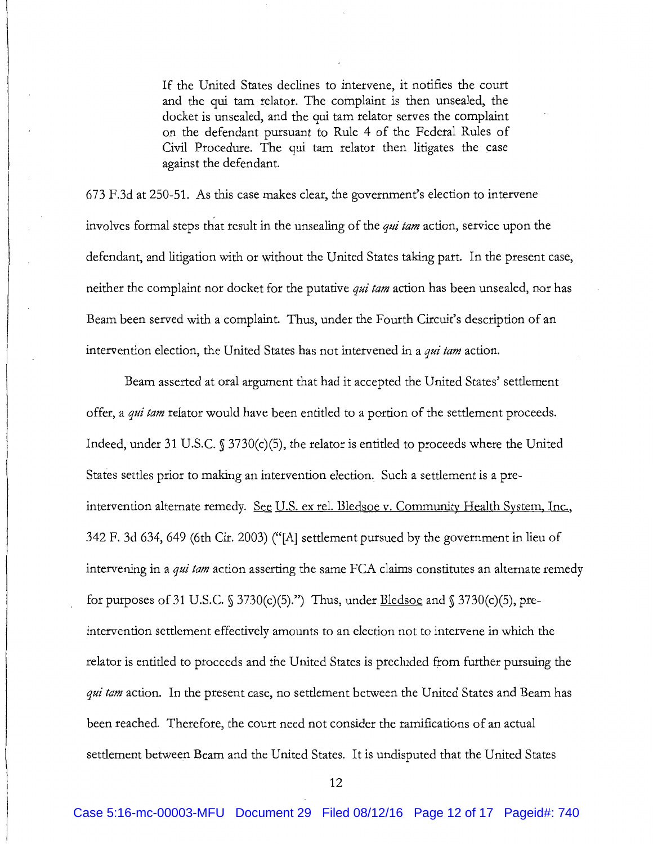If the United States declines to intervene, it notifies the court and the qui tam relator. The complaint is then unsealed, the docket is unsealed, and the qui tam relator serves the complaint on the defendant pursuant *to* Rule 4 of the Federal Rules of Civil Procedure. The qui tam relator then litigates the case against the defendant.

673 F.3d at 250-51. As this case makes clear, the government's election to intervene involves formal steps that result in the unsealing of the *qui tam* action, service upon the defendant, and litigation with or without the United States taking part. In the present case, neither the complaint nor docket for the putative *qui tam* action has been unsealed, nor has Beam been served with a complaint. Thus, under the Fourth Circuit's description of an intervention election, the United States has not intervened in a *qui tam* action.

Beam asserted at oral argument that had it accepted the United States' settlement offer, a *qui tam* relator would have been entitled to a portion of the settlement proceeds. Indeed, under 31 U.S.C. § 3730(c)(5), the relator is entitled to proceeds where the United States settles prior to making an intervention election. Such a settlement is a preintervention alternate remedy. See U.S. ex rel. Bledsoe v. Community Health System, Inc., 342 F. 3d 634, 649 (6th Cir. 2003) ("[A] settlement pursued by the government in lieu of intervening in a *qui tam* action asserting the same FCA claims constitutes an alternate remedy for purposes of 31 U.S.C.  $\S 3730(c)(5)$ .") Thus, under **Bledsoe** and  $\S 3730(c)(5)$ , preintervention settlement effectively amounts to an election not to intervene in which the relator is entitled to proceeds and the United States is precluded from further pursuing the *qui tam* action. In the present case, no settlement between the United States and Beam has been reached. Therefore, the court need not consider the ramifications of an actual settlement between Beam and the United States. It is undisputed that the United States

12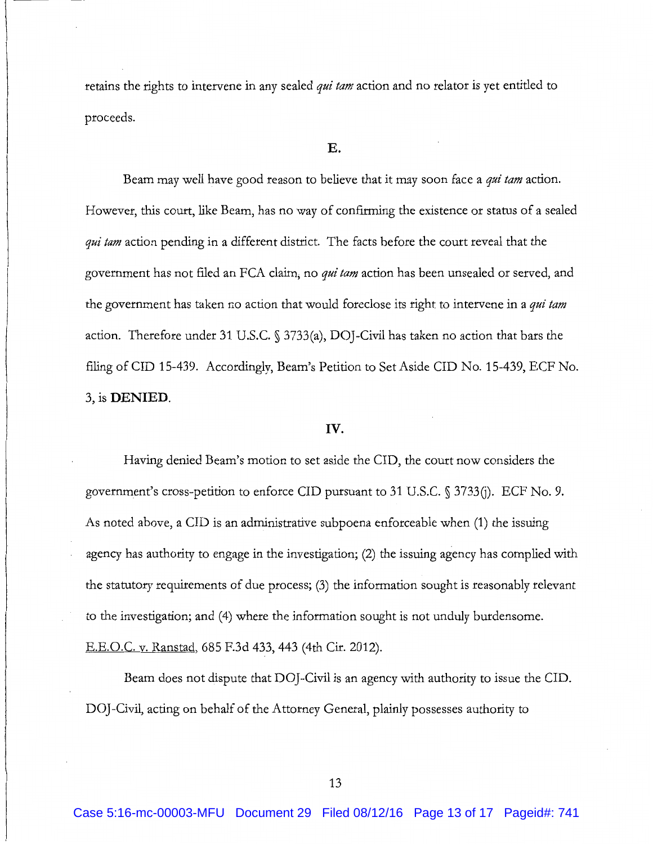retains the rights to intervene in any sealed *qui tam* action and no relator is yet entitled to proceeds.

#### E.

Beam may well have good reason to believe that it may soon face a *qui tam* action. However, this court, like Beam, has no way of confirming the existence or status of a sealed *qui tam* action pending in a different district. The facts before the court reveal that the government has not filed an FCA claim; no *qui tam* action has been unsealed or served, and the government has taken no action that would foreclose its right to intervene in a *qui tam*  action. Therefore under 31 U.S.C. § 3733(a), DOJ-Civil has taken no action that bars the filing of CID 15-439. Accordingly, Beam's Petition to Set Aside CID No. 15-439, ECF No. 3, is **DENIED.** 

### **IV.**

Having denied Beam's motion to set aside the CID, the court now considers the government's cross-petition to enforce CID pursuant to 31 U.S.C. § 3733(j). ECF No. 9. As noted above, aCID is an administrative subpoena enforceable when (1) the issuing agency has authority to engage in the investigation; (2) the issuing agency has complied with the statutory requirements of due process; (3) the information sought is reasonably relevant to the investigation; and (4) where the information sought is not unduly burdensome. E.E.O.C. v. Ranstad, 685 F.3d 433, 443 (4th Cir. 2012).

Beam does not dispute that DOJ-Civil is an agency with authority to issue the CID. DOJ-Civil, acting on behalf of the Attorney General, plainly possesses authority to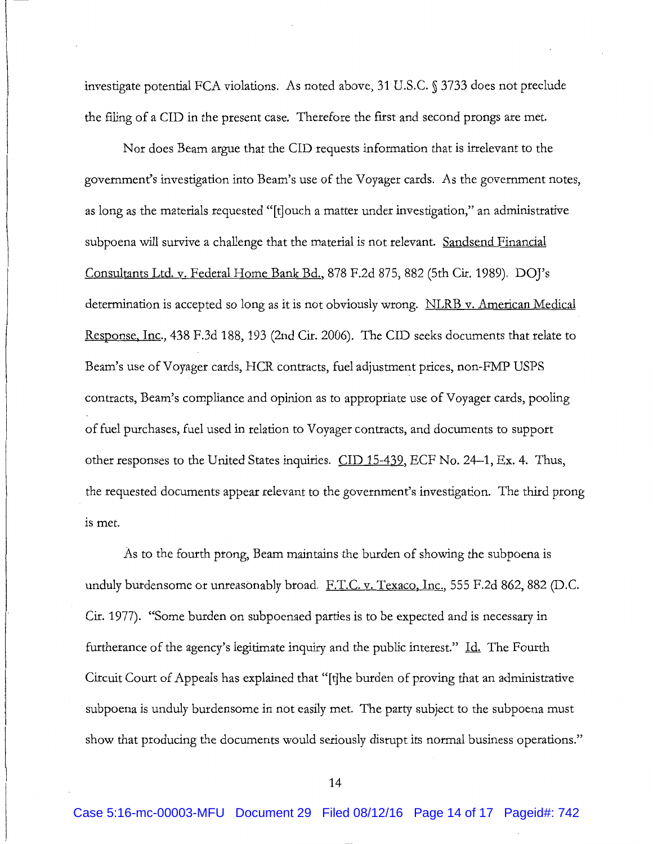investigate potential FCA violations. As noted above, 31 U.S.C. § 3733 does not preclude the filing of aCID in the present case. Therefore the flrst and second prongs are met.

Nor does Beam argue that the CID requests information that is irrelevant to the government's investigation into Beam's use of the Voyager cards. As the government notes, as long as the materials requested "[t]ouch a matter under investigation," an administrative subpoena will survive a challenge that the material is not relevant. Sandsend Financial Consultants Ltd. v. Federal Home Bank Bd., 878 F.2d 875, 882 (5th Cir. 1989). DOJ's determination is accepted so long as it is not obviously wrong. NLRB v. American Medical Response, Inc., 438 F.3d 188, 193 (2nd Cir. 2006). The CID seeks documents that relate to Beam's use of Voyager cards, HCR contracts, fuel adjustment prices, non-FMP USPS contracts, Beam's compliance and opinion as to appropriate use of Voyager cards, pooling of fuel purchases, fuel used in relation to Voyager contracts, and documents to support other responses to the United States inquiries. CID 15-439, ECF No. 24-1, Ex. 4. Thus, the requested documents appear relevant to the government's investigation. The third prong is met.

As to the fourth prong, Beam maintains the burden of showing the subpoena is unduly burdensome or unreasonably broad. F.T.C. v. Texaco, Inc., 555 F.2d 862, 882 (D.C. Cir. 1977). "Some burden on subpoenaed parties is to be expected and is necessary in furtherance of the agency's legitimate inquiry and the public interest." Id. The Fourth Circuit Court of Appeals has explained that "[t]he burden of proving that an administrative subpoena is unduly burdensome in not easily met. The party subject to the subpoena must show that producing the documents would seriously disrupt its normal business operations."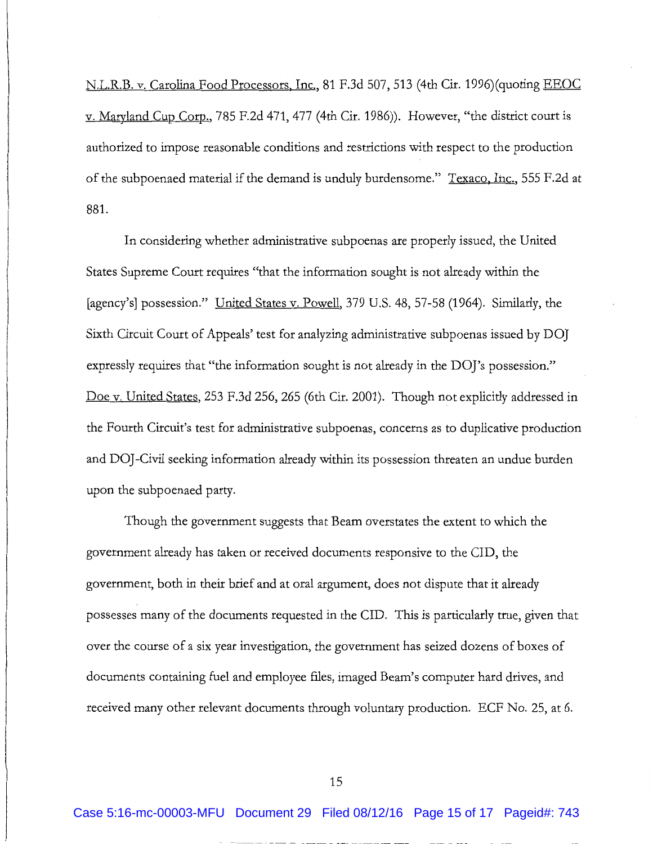N.L.R.B. v. Carolina Food Processors, Inc., 81 F.3d 507, 513 (4th Cir. 1996)(quoting EEOC v. Maryland Cup Corp., 785 F.2d 471, 477 (4th Cir. 1986)). However, "the district court is authorized to impose reasonable conditions and restrictions with respect to the production of the subpoenaed material if the demand is unduly burdensome." Texaco, Inc., 555 F.2d at 881.

In considering whether administrative subpoenas are properly issued, the United States Supreme Court requires "that the information sought is not already within the [agency's] possession." United States v. Powell, 379 U.S. 48, 57-58 (1964). Similarly, the Sixth Circuit Court of Appeals' test for analyzing administrative subpoenas issued by DO] expressly requires that "the information sought is not already in the DOJ's possession." Doe v. United States, 253 F.3d 256, 265 (6th Cir. 2001). Though not explicitly addressed in the Fourth Circuit's test for administrative subpoenas, concerns as to duplicative production and DOJ-Civil seeking information already within its possession threaten an undue burden upon the subpoenaed party.

Though the government suggests that Beam overstates the extent to which the government already has taken or received documents responsive to the CID, the government, both in their brief and at oral argument, does not dispute that it already possesses many of the documents requested in the CID. This is particularly true, given that over the course of a six year investigation, the government has seized dozens of boxes of documents containing fuel and employee flies, imaged Beam's computer hard drives, and received many other relevant documents through voluntary production. ECF No. 25, at 6.

15

Case 5:16-mc-00003-MFU Document 29 Filed 08/12/16 Page 15 of 17 Pageid#: 743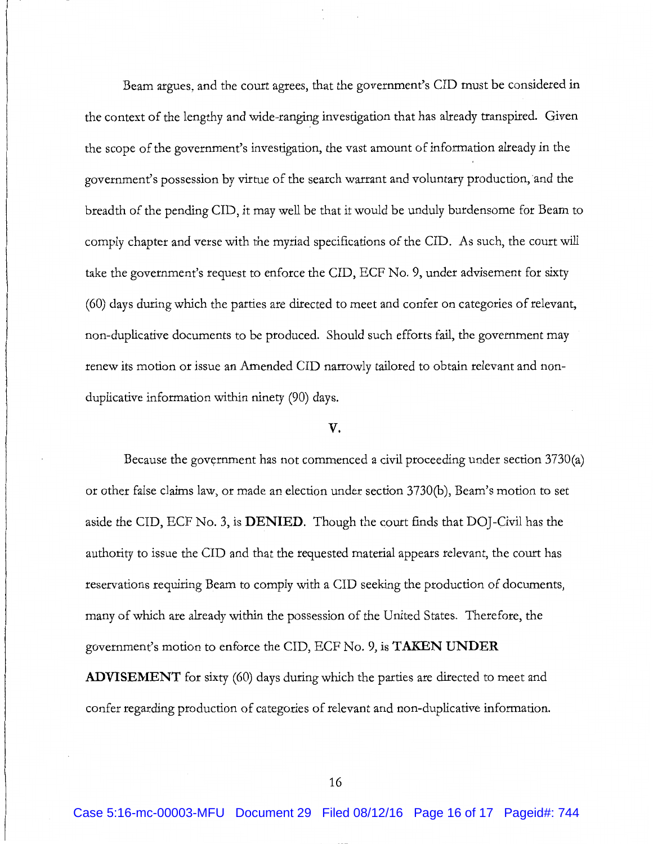Beam argues, and the court agrees, that the government's CID must be considered in the context of the lengthy and wide-ranging investigation that has already transpired. Given the scope of the government's investigation, the vast amount of information already in the government's possession by virtue of the search warrant and voluntary production, and the breadth of the pending CID, it may well be that it would be unduly burdensome for Beam to comply chapter and verse with the myriad specifications of the CID. As such, the court will take the government's request to enforce the CID, ECF No. 9, under advisement for sixty (60) days during which the parties are directed to meet and confer on categories of relevant, non-duplicative documents to be produced. Should such efforts fail, the government may renew its motion or issue an Amended CID narrowly tailored to obtain relevant and nonduplicative information within ninety (90) days.

#### **v.**

Because the government has not commenced a civil proceeding under section 3730(a) or other false claims law, or made an election under section 3730(b), Beam's motion to set aside the CID, ECF No. 3, is **DENIED.** Though the court finds that DOJ-Civil has the authority to issue the CID and that the requested material appears relevant, the court has reservations requiring Beam to comply with a CID seeking the production of documents, many of which are already within the possession of the United States. Therefore, the government's motion to enforce the CID, ECF No.9, is **TAKEN UNDER** 

**ADVISEMENT** for sixty (60) days during which the parties are directed to meet and confer regarding production of categories of relevant and non-duplicative information.